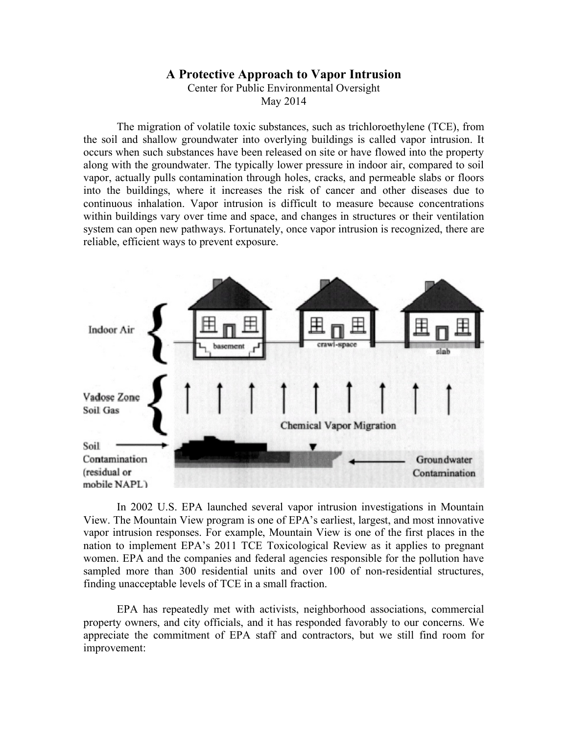## **A Protective Approach to Vapor Intrusion**

Center for Public Environmental Oversight

May 2014

The migration of volatile toxic substances, such as trichloroethylene (TCE), from the soil and shallow groundwater into overlying buildings is called vapor intrusion. It occurs when such substances have been released on site or have flowed into the property along with the groundwater. The typically lower pressure in indoor air, compared to soil vapor, actually pulls contamination through holes, cracks, and permeable slabs or floors into the buildings, where it increases the risk of cancer and other diseases due to continuous inhalation. Vapor intrusion is difficult to measure because concentrations within buildings vary over time and space, and changes in structures or their ventilation system can open new pathways. Fortunately, once vapor intrusion is recognized, there are reliable, efficient ways to prevent exposure.



In 2002 U.S. EPA launched several vapor intrusion investigations in Mountain View. The Mountain View program is one of EPA's earliest, largest, and most innovative vapor intrusion responses. For example, Mountain View is one of the first places in the nation to implement EPA's 2011 TCE Toxicological Review as it applies to pregnant women. EPA and the companies and federal agencies responsible for the pollution have sampled more than 300 residential units and over 100 of non-residential structures, finding unacceptable levels of TCE in a small fraction.

EPA has repeatedly met with activists, neighborhood associations, commercial property owners, and city officials, and it has responded favorably to our concerns. We appreciate the commitment of EPA staff and contractors, but we still find room for improvement: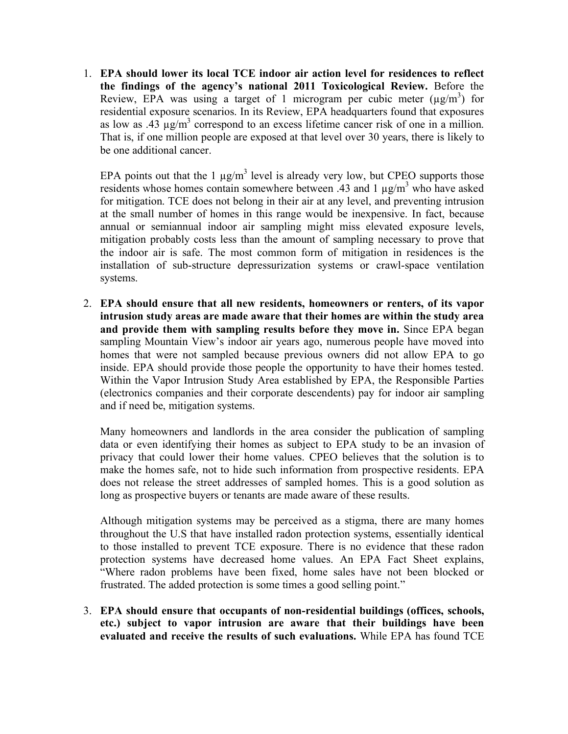1. **EPA should lower its local TCE indoor air action level for residences to reflect the findings of the agency's national 2011 Toxicological Review.** Before the Review, EPA was using a target of 1 microgram per cubic meter  $(\mu g/m^3)$  for residential exposure scenarios. In its Review, EPA headquarters found that exposures as low as .43  $\mu$ g/m<sup>3</sup> correspond to an excess lifetime cancer risk of one in a million. That is, if one million people are exposed at that level over 30 years, there is likely to be one additional cancer.

EPA points out that the 1  $\mu$ g/m<sup>3</sup> level is already very low, but CPEO supports those residents whose homes contain somewhere between .43 and 1  $\mu$ g/m<sup>3</sup> who have asked for mitigation. TCE does not belong in their air at any level, and preventing intrusion at the small number of homes in this range would be inexpensive. In fact, because annual or semiannual indoor air sampling might miss elevated exposure levels, mitigation probably costs less than the amount of sampling necessary to prove that the indoor air is safe. The most common form of mitigation in residences is the installation of sub-structure depressurization systems or crawl-space ventilation systems.

2. **EPA should ensure that all new residents, homeowners or renters, of its vapor intrusion study areas are made aware that their homes are within the study area and provide them with sampling results before they move in.** Since EPA began sampling Mountain View's indoor air years ago, numerous people have moved into homes that were not sampled because previous owners did not allow EPA to go inside. EPA should provide those people the opportunity to have their homes tested. Within the Vapor Intrusion Study Area established by EPA, the Responsible Parties (electronics companies and their corporate descendents) pay for indoor air sampling and if need be, mitigation systems.

Many homeowners and landlords in the area consider the publication of sampling data or even identifying their homes as subject to EPA study to be an invasion of privacy that could lower their home values. CPEO believes that the solution is to make the homes safe, not to hide such information from prospective residents. EPA does not release the street addresses of sampled homes. This is a good solution as long as prospective buyers or tenants are made aware of these results.

Although mitigation systems may be perceived as a stigma, there are many homes throughout the U.S that have installed radon protection systems, essentially identical to those installed to prevent TCE exposure. There is no evidence that these radon protection systems have decreased home values. An EPA Fact Sheet explains, "Where radon problems have been fixed, home sales have not been blocked or frustrated. The added protection is some times a good selling point."

3. **EPA should ensure that occupants of non-residential buildings (offices, schools, etc.) subject to vapor intrusion are aware that their buildings have been evaluated and receive the results of such evaluations.** While EPA has found TCE